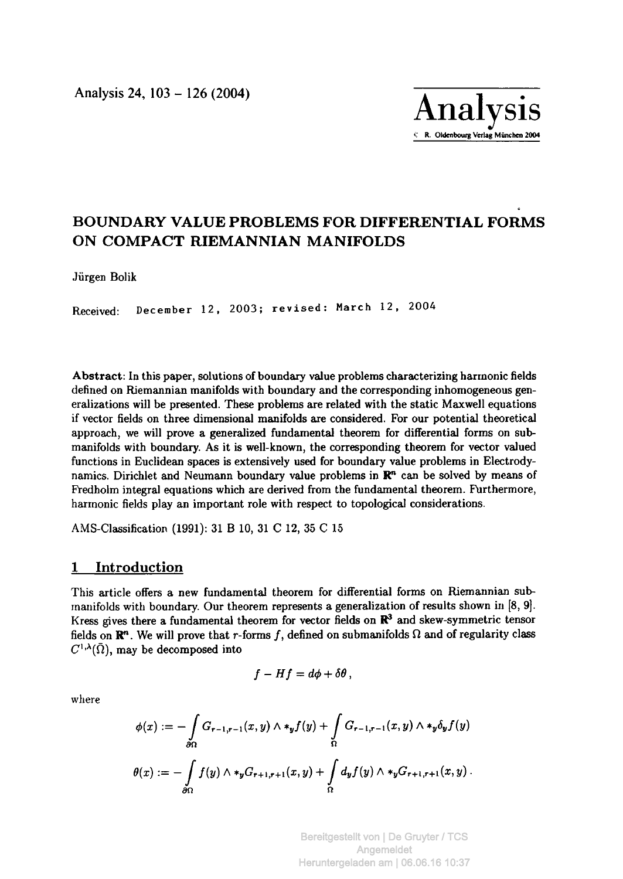

# **BOUNDARY VALUE PROBLEMS FOR DIFFERENTIAL FORMS ON COMPACT RIEMANNIAN MANIFOLDS**

Jürgen Bolik

Received: December 12, 2003; revised: March 12, 2004

**Abstract:** In this paper, solutions of boundary value problems characterizing harmonic fields defined on Riemannian manifolds with boundary and the corresponding inhomogeneous generalizations will be presented. These problems are related with the static Maxwell equations if vector fields on three dimensional manifolds are considered. For our potential theoretical approach, we will prove a generalized fundamental theorem for differential forms on submanifolds with boundary. As it is well-known, the corresponding theorem for vector valued functions in Euclidean spaces is extensively used for boundary value problems in Electrodynamics. Dirichlet and Neumann boundary value problems in  $\mathbb{R}^n$  can be solved by means of Fredholm integral equations which are derived from the fundamental theorem. Furthermore, harmonic fields play an important role with respect to topological considerations.

AMS-Classification (1991): 31 Β 10, 31 C 12, 35 C 15

# **1 Introduction**

This article offers a new fundamental theorem for differential forms on Riemannian submanifolds with boundary. Our theorem represents a generalization of results shown in [8, 9]. Kress gives there a fundamental theorem for vector fields on **R<sup>3</sup>** and skew-symmetric tensor fields on  $\mathbb{R}^n$ . We will prove that r-forms f, defined on submanifolds  $\Omega$  and of regularity class  $C^{1,\lambda}(\bar{\Omega})$ , may be decomposed into

$$
f-Hf=d\phi+\delta\theta\,,
$$

where

$$
\phi(x) := -\int_{\partial\Omega} G_{r-1,r-1}(x,y) \wedge *_y f(y) + \int_{\Omega} G_{r-1,r-1}(x,y) \wedge *_y \delta_y f(y)
$$

$$
\theta(x) := -\int_{\partial\Omega} f(y) \wedge *_y G_{r+1,r+1}(x,y) + \int_{\Omega} d_y f(y) \wedge *_y G_{r+1,r+1}(x,y).
$$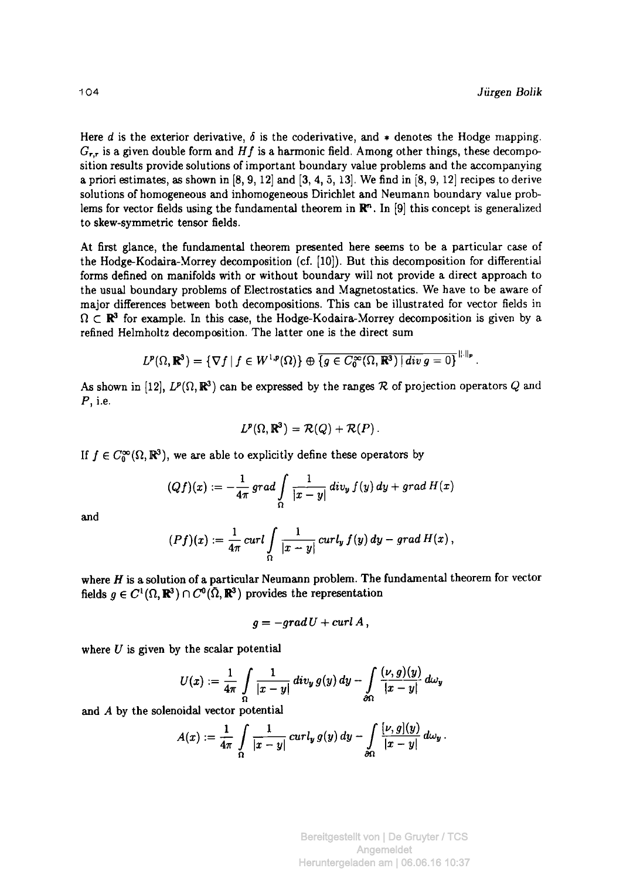Here *d* is the exterior derivative,  $\delta$  is the coderivative, and  $*$  denotes the Hodge mapping.  $G_{r,r}$  is a given double form and H f is a harmonic field. Among other things, these decomposition results provide solutions of important boundary value problems and the accompanying a priori estimates, as shown in  $[8, 9, 12]$  and  $[3, 4, 5, 13]$ . We find in  $[8, 9, 12]$  recipes to derive solutions of homogeneous and inhomogeneous Dirichlet and Neumann boundary value problems for vector fields using the fundamentad theorem in **R"**. In [9] this concept is generalized to skew-symmetric tensor fields.

At first glance, the fundamental theorem presented here seems to be a particular case of the Hodge-Kodaira-Morrey decomposition (cf. [10]). But this decomposition for differential forms defined on manifolds with or without boundary will not provide a direct approach to the usual boundary problems of Electrostatics and Magnetostatics. We have to be aware of major differences between both decompositions. This can be illustrated for vector fields in  $\Omega \subset \mathbb{R}^3$  for example. In this case, the Hodge-Kodaira-Morrey decomposition is given by a refined Helmholtz decomposition. The latter one is the direct sum

$$
L^p(\Omega,\mathbb{R}^3)=\{\nabla f\,|\,f\in W^{1,p}(\Omega)\}\oplus\overline{\{g\in C_0^\infty(\Omega,\mathbb{R}^3)\,|\,div\,g=0\}}^{\|.\|_p}.
$$

As shown in [12],  $L^p(\Omega, \mathbb{R}^3)$  can be expressed by the ranges R of projection operators Q and P, i.e.

$$
L^p(\Omega,\mathbb{R}^3)=\mathcal{R}(Q)+\mathcal{R}(P).
$$

If  $f \in C_0^{\infty}(\Omega,\mathbb{R}^3)$ , we are able to explicitly define these operators by

$$
(Qf)(x):=-\frac{1}{4\pi}\,grad\int\limits_{\Omega} \frac{1}{|x-y|} \,div_y\,f(y)\,dy+grad\,H(x)
$$
 and

$$
(Pf)(x) := \frac{1}{4\pi} \operatorname{curl} \int\limits_{\Omega} \frac{1}{|x-y|} \operatorname{curl}_y f(y) dy - \operatorname{grad} H(x),
$$

where  $H$  is a solution of a particular Neumann problem. The fundamental theorem for vector fields  $q \in C^1(\Omega, \mathbb{R}^3) \cap C^0(\tilde{\Omega}, \mathbb{R}^3)$  provides the representation

$$
g = -grad U + curl A,
$$

where *U* is given by the scalar potential

$$
U(x):=\frac{1}{4\pi}\int\limits_{\Omega}\frac{1}{|x-y|}div_y g(y)\,dy-\int\limits_{\partial\Omega}\frac{(\nu,g)(y)}{|x-y|}d\omega_y
$$

and A by the solenoidal vector potential

$$
A(x):=\frac{1}{4\pi}\int\limits_{\Omega}\frac{1}{|x-y|}\,curl_y\,g(y)\,dy-\int\limits_{\partial\Omega}\frac{[\nu,g](y)}{|x-y|}\,d\omega_y\,.
$$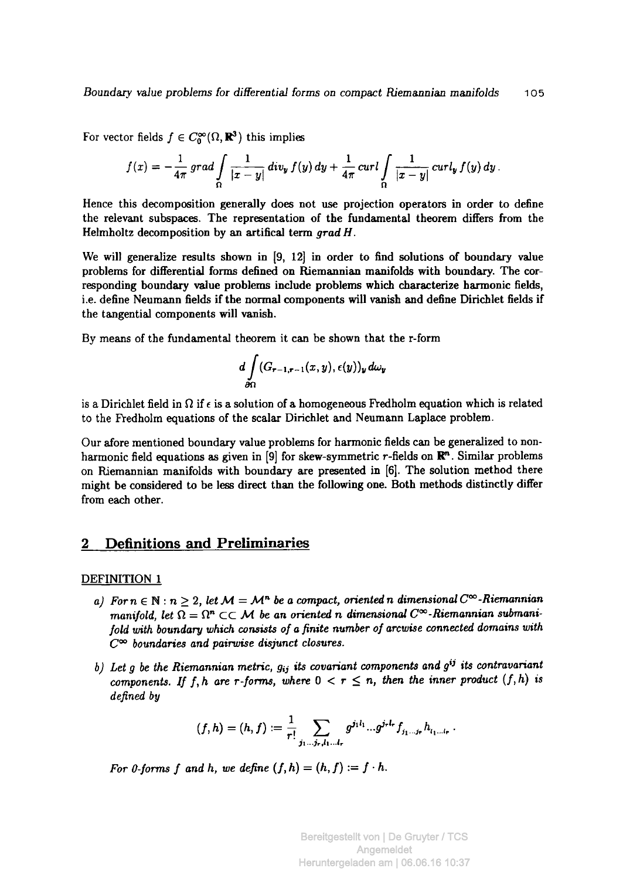For vector fields  $f \in C_0^{\infty}(\Omega, \mathbb{R}^3)$  this implies

$$
f(x)=-\frac{1}{4\pi}\,grad\int\limits_{\Omega}\frac{1}{|x-y|}\,div_{y}\,f(y)\,dy+\frac{1}{4\pi}\,curl\int\limits_{\Omega}\frac{1}{|x-y|}\,curl_{y}\,f(y)\,dy.
$$

Hence this decomposition generally does not use projection operators in order to define the relevant subspaces. The representation of the fundamental theorem differs from the Helmholtz decomposition by an artifical term *grad Η.* 

We will generalize results shown in [9, 12] in order to find solutions of boundary value problems for differential forms defined on Riemannian manifolds with boundary. The corresponding boundary value problems include problems which characterize harmonic fields, i.e. define Neumann fields if the normal components will vanish and define Dirichlet fields if the tangential components will vanish.

By means of the fundamental theorem it can be shown that the r-form

$$
d\int\limits_{\partial\Omega} (G_{r-1,r-1}(x,y),\epsilon(y))_y\,d\omega_y
$$

is a Dirichlet field in  $\Omega$  if  $\epsilon$  is a solution of a homogeneous Fredholm equation which is related to the Fredholm equations of the scalar Dirichlet and Neumann Laplace problem.

Our afore mentioned boundary value problems for harmonic fields can be generalized to nonharmonic field equations as given in [9] for skew-symmetric  $r$ -fields on  $\mathbb{R}^n$ . Similar problems on Riemannian manifolds with boundary are presented in [6]. The solution method there might be considered to be less direct than the following one. Both methods distinctly differ from each other.

## **2 Definitions and Preliminaries**

#### DEFINITION 1

- *a)* For  $n \in \mathbb{N} : n \geq 2$ , let  $\mathcal{M} = \mathcal{M}^n$  be a compact, oriented n dimensional  $C^{\infty}$ -Riemannian *manifold, let*  $\Omega = \Omega^n \subset\subset \mathcal{M}$  be an oriented *n* dimensional  $C^\infty$ -Riemannian submani*fold with boundary which consists of a finite number of arcwise connected domains with*   $C^{\infty}$  boundaries and pairwise disjunct closures.
- *b)* Let g be the Riemannian metric,  $g_{ij}$  its covariant components and  $g^{ij}$  its contravariant *components. If f, h are r-forms, where*  $0 < r \leq n$ , then the inner product  $(f, h)$  is *defined by*

$$
(f,h)=(h,f):=\frac{1}{r!}\sum_{j_1...j_r,l_1...l_r}g^{j_1l_1}...g^{j_rl_r}f_{j_1...j_r}h_{l_1...l_r}.
$$

*For 0-forms f and h, we define*  $(f, h) = (h, f) := f \cdot h$ .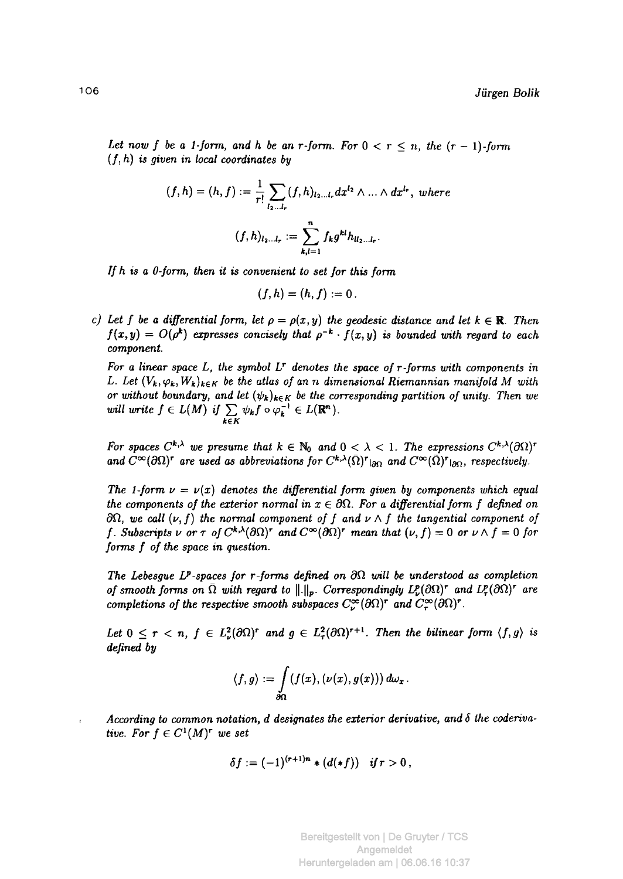Let now f be a 1-form, and h be an r-form. For  $0 < r \le n$ , the  $(r - 1)$ -form  $(f, h)$  is given in local coordinates by

$$
(f,h) = (h,f) := \frac{1}{r!} \sum_{l_2...l_r} (f,h)_{l_2...l_r} dx^{l_2} \wedge ... \wedge dx^{l_r}, \text{ where}
$$

$$
(f,h)_{l_2...l_r} := \sum_{k,l=1}^n f_k g^{kl} h_{ll_2...l_r}.
$$

*If h is a 0-form, then it is convenient to set for this form* 

$$
(f,h)=(h,f):=0.
$$

*c)* Let f be a differential form, let  $\rho = \rho(x, y)$  the geodesic distance and let  $k \in \mathbb{R}$ . Then  $f(x,y) = O(\rho^k)$  expresses concisely that  $\rho^{-k} \cdot f(x,y)$  is bounded with regard to each *component.* 

*For a linear space L, the symbol LT denotes the space of r-forms with components in L. Let*  $(V_k, \varphi_k, W_k)_{k \in K}$  be the atlas of an n dimensional Riemannian manifold M with *or without boundary, and let*  $(\psi_k)_{k \in K}$  *be the corresponding partition of unity. Then we will write*  $f \in L(M)$  *if*  $\sum \psi_k f \circ \varphi_k^{-1} \in L(\mathbb{R}^n)$ . *kZK* 

*For spaces*  $C^{k,\lambda}$  we presume that  $k \in \mathbb{N}_0$  and  $0 < \lambda < 1$ . The expressions  $C^{k,\lambda}(\partial\Omega)^r$ and  $C^{\infty}(\partial\Omega)$ <sup>*r*</sup> are used as abbreviations for  $C^{k,\lambda}(\Omega)$ <sup>*r*</sup> $|_{\partial\Omega}$  and  $C^{\infty}(\Omega)$ <sup>*r*</sup> $|_{\partial\Omega}$ , respectively.

*The 1-form*  $\nu = \nu(x)$  *denotes the differential form given by components which equal the components of the exterior normal in*  $x \in \partial \Omega$ *. For a differential form f defined on*  $\partial\Omega$ , we call  $(\nu, f)$  the normal component of f and  $\nu \wedge f$  the tangential component of *f*. Subscripts  $\nu$  or  $\tau$  of  $C^{k,\lambda}(\partial\Omega)^r$  and  $C^{\infty}(\partial\Omega)^r$  mean that  $(\nu, f) = 0$  or  $\nu \wedge f = 0$  for *forms f of the space in question.* 

The Lebesgue  $L^p$ -spaces for r-forms defined on  $\partial\Omega$  will be understood as completion *of smooth forms on* Ω *with regard to ||.||p. Correspondingly* Ζ£(9Ω) *and LPr(dQ)<sup>r</sup> are completions of the respective smooth subspaces*  $C^{\infty}_{\nu}(\partial\Omega)^r$  and  $C^{\infty}_{\tau}(\partial\Omega)^r$ .

Let  $0 \leq r < n$ ,  $f \in L^2_{\nu}(\partial \Omega)^r$  and  $g \in L^2_{\tau}(\partial \Omega)^{r+1}$ . Then the bilinear form  $\langle f, g \rangle$  is *defined by* 

$$
\langle f,g\rangle:=\int\limits_{\partial\Omega}(f(x),(\nu(x),g(x)))\,d\omega_x\,.
$$

*According to common notation, d designates the exterior derivative, and δ the coderivative.* For  $f \in C^1(M)^r$  we set

$$
\delta f := (-1)^{(r+1)n} * (d(*f)) \quad \text{if } r > 0,
$$

 $\mathbf{r}$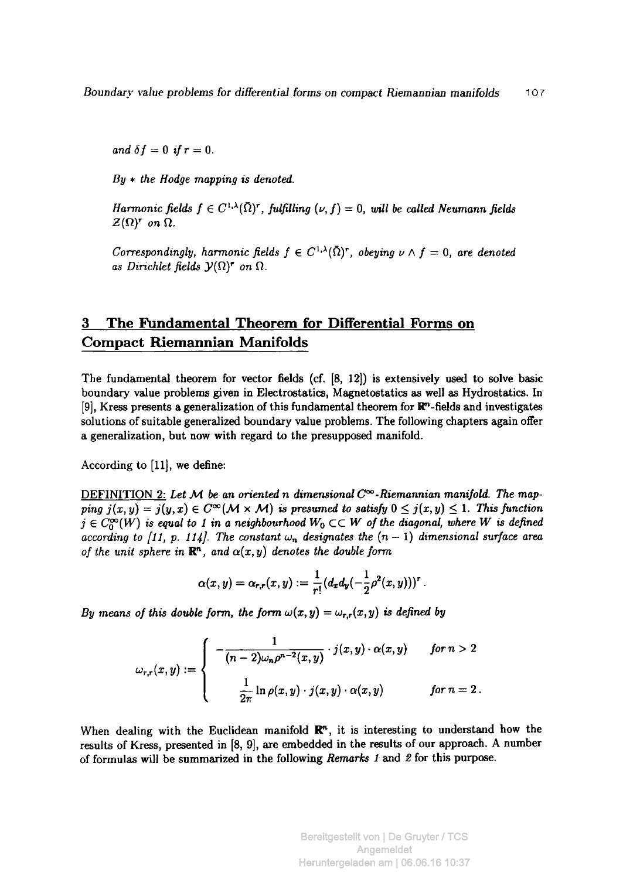*and*  $\delta f = 0$  *if*  $r = 0$ .

*By \* the Hodge mapping is denoted.* 

*Harmonic fields*  $f \in C^{1,\lambda}(\overline{\Omega})^r$ , *fulfilling*  $(\nu, f) = 0$ , *will be called Neumann fields Z*( $Ω$ )<sup>*r*</sup> on  $Ω$ .

*Correspondingly, harmonic fields*  $f \in C^{1,\lambda}(\overline{\Omega})^r$ , *obeying*  $\nu \wedge f = 0$ , *are denoted as Dirichlet fields* 3>(Ω) *on* Ω.

# **3 The Fundamental Theorem for Differential Forms on Compact Riemannian Manifolds**

The fundamental theorem for vector fields (cf. [8, 12]) is extensively used to solve basic boundary value problems given in Electrostatics, Magnetostatics as well as Hydrostatics. In [9], Kress presents a generalization of this fundamental theorem for  $\mathbb{R}^n$ -fields and investigates solutions of suitable generalized boundary value problems. The following chapters again offer a generalization, but now with regard to the presupposed manifold.

According to [11], we define:

DEFINITION 2: *Let M. be an oriented η dimensional C°°-Riemannian manifold. The mapping*  $j(x,y) = j(y,x) \in C^{\infty}(\mathcal{M} \times \mathcal{M})$  *is presumed to satisfy*  $0 \leq j(x,y) \leq 1$ . This function  $j \in C_0^{\infty}(W)$  is equal to 1 in a neighbourhood  $W_0 \subset\subset W$  of the diagonal, where W is defined *according to [11, p. 114]. The constant*  $\omega_n$  designates the  $(n-1)$  dimensional surface area *of the unit sphere in*  $\mathbb{R}^n$ , and  $\alpha(x, y)$  denotes the double form

$$
\alpha(x,y) = \alpha_{r,r}(x,y) := \frac{1}{r!} (d_x d_y(-\frac{1}{2}\rho^2(x,y)))^r.
$$

*By means of this double form, the form*  $\omega(x, y) = \omega_{r,r}(x, y)$  is defined by

$$
\omega_{r,r}(x,y) := \begin{cases}\n-\frac{1}{(n-2)\omega_n \rho^{n-2}(x,y)} \cdot j(x,y) \cdot \alpha(x,y) & \text{for } n > 2 \\
\frac{1}{2\pi} \ln \rho(x,y) \cdot j(x,y) \cdot \alpha(x,y) & \text{for } n = 2\n\end{cases}
$$

When dealing with the Euclidean manifold  $\mathbb{R}^n$ , it is interesting to understand how the results of Kress, presented in [8, 9], are embedded in the results of our approach. A number of formulas will be summarized in the following *Remarks 1* and *2* for this purpose.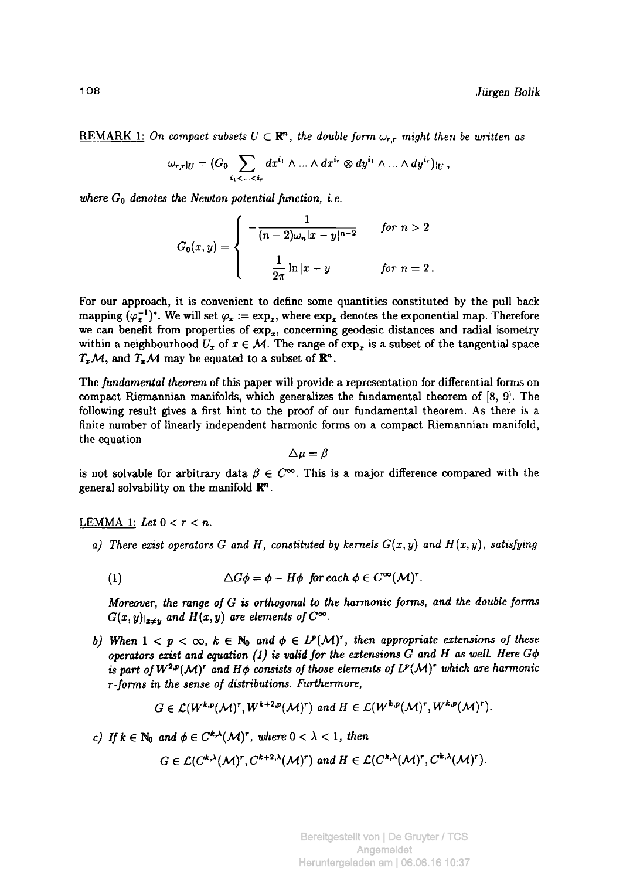REMARK 1: On compact subsets  $U \subset \mathbb{R}^n$ , the double form  $\omega_{\tau,\tau}$  might then be written as

$$
\omega_{r,r}|_U=(G_0\sum_{i_1<\ldots
$$

*where Go denotes the Newton potential function, i.e.* 

$$
G_0(x,y) = \begin{cases} -\frac{1}{(n-2)\omega_n|x-y|^{n-2}} & \text{for } n > 2 \\ \frac{1}{2\pi} \ln|x-y| & \text{for } n = 2 \, . \end{cases}
$$

For our approach, it is convenient to define some quantities constituted by the pull back mapping  $(\varphi_{\bm{x}}^{-1})^*$ . We will set  $\varphi_{\bm{x}} := \exp_{\bm{x}}$ , where  $\exp_{\bm{x}}$  denotes the exponential map. Therefore we can benefit from properties of  $exp<sub>x</sub>$ , concerning geodesic distances and radial isometry within a neighbourhood  $U_x$  of  $x \in \mathcal{M}$ . The range of  $\exp_x$  is a subset of the tangential space  $T_xM$ , and  $T_xM$  may be equated to a subset of  $\mathbb{R}^n$ .

The *fundamental theorem* of this paper will provide a representation for differential forms on compact Riemannian manifolds, which generalizes the fundamental theorem of [8, 9]. The following result gives a first hint to the proof of our fundamental theorem. As there is a finite number of linearly independent harmonic forms on a compact Riemannian manifold, the equation

$$
\Delta \mu = \beta
$$

is not solvable for arbitrary data  $\beta \in \mathbb{C}^{\infty}$ . This is a major difference compared with the general solvability on the manifold  $\mathbb{R}^n$ .

#### LEMMA 1: Let  $0 < r < n$ .

*a)* There exist operators G and H, constituted by kernels  $G(x, y)$  and  $H(x, y)$ , satisfying

(1) 
$$
\Delta G \phi = \phi - H \phi \text{ for each } \phi \in C^{\infty}(\mathcal{M})^{r}.
$$

*Moreover, the range of G is orthogonal to the harmonic forms, and the double forms*   $G(x,y)|_{x\neq y}$  and  $H(x,y)$  are elements of  $C^{\infty}$ .

*b)* When  $1 < p < \infty$ ,  $k \in \mathbb{N}_0$  and  $\phi \in L^p(\mathcal{M})^r$ , then appropriate extensions of these *operators exist and equation (1) is valid for the extensions G and H as well. Here*  $G\phi$ is part of  $W^{2,p}(\mathcal{M})^r$  and  $H\phi$  consists of those elements of  $L^p(\mathcal{M})^r$  which are harmonic *r-forms in the sense of distributions. Furthermore,* 

$$
G \in \mathcal{L}(W^{k,p}(\mathcal{M})^r, W^{k+2,p}(\mathcal{M})^r) \text{ and } H \in \mathcal{L}(W^{k,p}(\mathcal{M})^r, W^{k,p}(\mathcal{M})^r).
$$

*c)* If  $k \in \mathbb{N}_0$  and  $\phi \in C^{k,\lambda}(\mathcal{M})^r$ , where  $0 < \lambda < 1$ , then

$$
G\in \mathcal{L}(C^{k,\lambda}(\mathcal{M})^r,C^{k+2,\lambda}(\mathcal{M})^r) \text{ and } H\in \mathcal{L}(C^{k,\lambda}(\mathcal{M})^r,C^{k,\lambda}(\mathcal{M})^r).
$$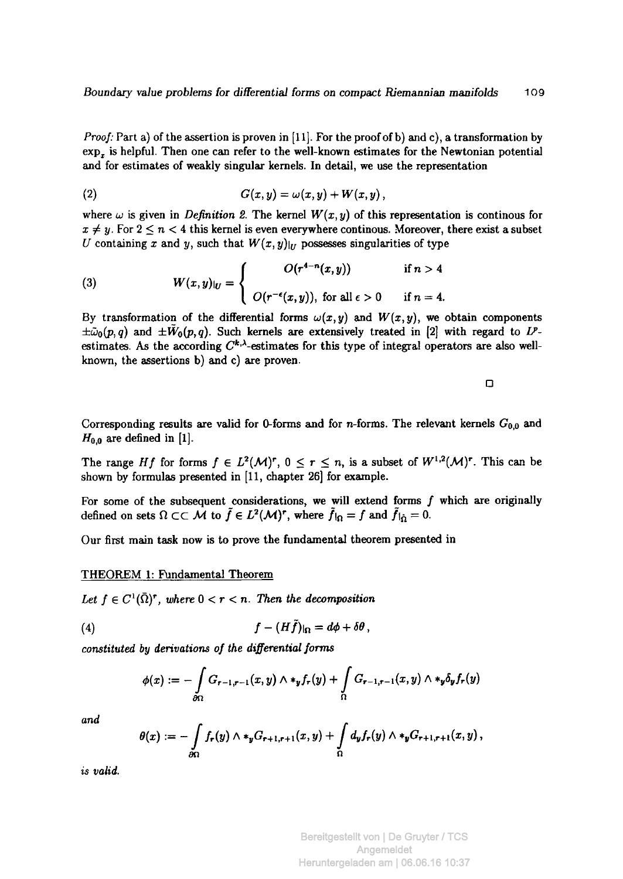*Proof:* Part a) of the assertion is proven in [11]. For the proof of b) and c), a transformation by  $exp<sub>x</sub>$  is helpful. Then one can refer to the well-known estimates for the Newtonian potential and for estimates of weakly singular kernels. In detail, we use the representation

$$
(2) \hspace{1cm} G(x,y) = \omega(x,y) + W(x,y) \, ,
$$

where  $\omega$  is given in *Definition 2.* The kernel  $W(x, y)$  of this representation is continous for  $x \neq y$ . For  $2 \leq n < 4$  this kernel is even everywhere continous. Moreover, there exist a subset *U* containing *x* and *y*, such that  $W(x, y)|$ *v* possesses singularities of type

(3) 
$$
W(x,y)|_U = \begin{cases} O(r^{4-n}(x,y)) & \text{if } n > 4 \\ O(r^{-\epsilon}(x,y)), \text{ for all } \epsilon > 0 & \text{if } n = 4. \end{cases}
$$

By transformation of the differential forms  $\omega(x, y)$  and  $W(x, y)$ , we obtain components  $\pm \tilde{\omega}_0(p,q)$  and  $\pm \tilde{W}_0(p,q)$ . Such kernels are extensively treated in [2] with regard to *V*estimates. As the according  $C^{k,\lambda}$ -estimates for this type of integral operators are also wellknown, the assertions b) and c) are proven.

 $\Box$ 

Corresponding results are valid for 0-forms and for *n*-forms. The relevant kernels  $G_{0,0}$  and  $H_{0,0}$  are defined in [1].

The range *Hf* for forms  $f \in L^2(M)^r$ ,  $0 \le r \le n$ , is a subset of  $W^{1,2}(\mathcal{M})^r$ . This can be shown by formulas presented in [11, chapter 26] for example.

For some of the subsequent considerations, we will extend forms  $f$  which are originally defined on sets  $\Omega \subset\subset \mathcal{M}$  to  $\tilde{f} \in L^2(\mathcal{M})^r$ , where  $\tilde{f}|_{\Omega} = f$  and  $\tilde{f}|_{\tilde{\Omega}} = 0$ .

Our first main task now is to prove the fundamental theorem presented in

#### THEOREM 1: Fundamental Theorem

Let  $f \in C^1(\bar{\Omega})^r$ , where  $0 < r < n$ . Then the decomposition

$$
(4) \t\t\t f - (H\tilde{f})|_{\Omega} = d\phi + \delta\theta,
$$

*constituted by derivations of the differential forms* 

$$
\phi(x) := -\int\limits_{\partial\Omega} G_{r-1,r-1}(x,y) \wedge \ast_y f_r(y) + \int\limits_{\Omega} G_{r-1,r-1}(x,y) \wedge \ast_y \delta_y f_r(y)
$$

*and* 

$$
\theta(x) := -\int\limits_{\partial\Omega} f_r(y) \wedge *_y G_{r+1,r+1}(x,y) + \int\limits_{\Omega} d_y f_r(y) \wedge *_y G_{r+1,r+1}(x,y),
$$

*is valid.*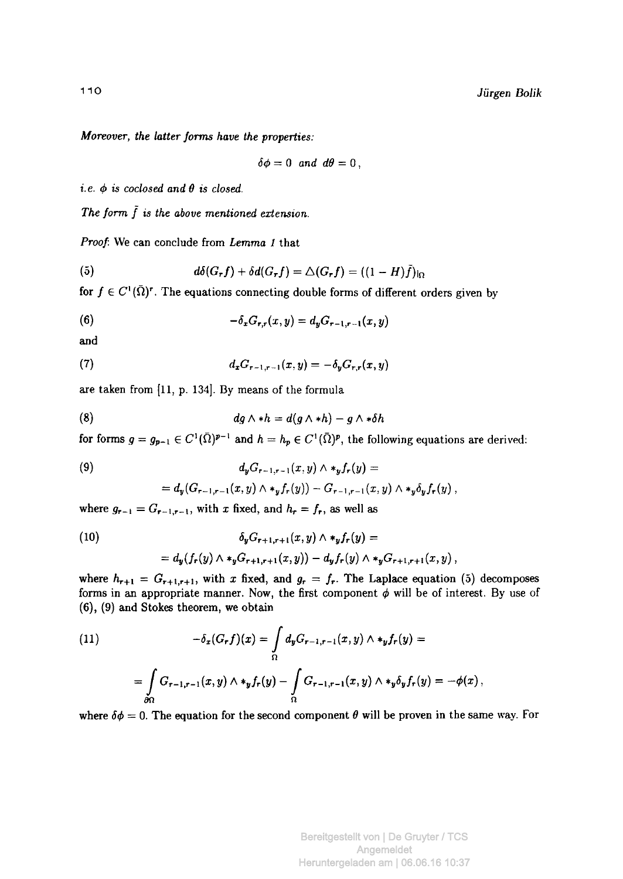$$
\delta\phi=0 \text{ and } d\theta=0,
$$

*i. e. φ is coclosed and θ is closed.* 

The form  $\tilde{f}$  is the above mentioned extension.

*Moreover, the latter forms have the properties:* 

*Proof*: We can conclude from *Lemma 1* that

(5) 
$$
d\delta(G_r f) + \delta d(G_r f) = \Delta(G_r f) = ((1 - H)\tilde{f})|_{\Omega}
$$

for  $f \in C^1(\bar{\Omega})^r$ . The equations connecting double forms of different orders given by

(6) 
$$
-\delta_x G_{r,r}(x,y) = d_y G_{r-1,r-1}(x,y)
$$

and

(7) 
$$
d_x G_{r-1,r-1}(x,y) = -\delta_y G_{r,r}(x,y)
$$

are taken from [11, p. 134]. By means of the formula

$$
(8) \t\t dg \wedge *h = d(g \wedge *h) - g \wedge * \delta h
$$

for forms  $g = g_{p-1} \in C^1(\bar{\Omega})^{p-1}$  and  $h = h_p \in C^1(\bar{\Omega})^p$ , the following equations are derived:

(9) 
$$
d_y G_{r-1,r-1}(x,y) \wedge *_{y} f_r(y) =
$$

$$
= d_y (G_{r-1,r-1}(x,y) \wedge *_{y} f_r(y)) - G_{r-1,r-1}(x,y) \wedge *_{y} \delta_y f_r(y),
$$

where  $g_{r-1} = G_{r-1,r-1}$ , with x fixed, and  $h_r = f_r$ , as well as

(10)  
\n
$$
\delta_y G_{r+1,r+1}(x,y) \wedge *_{y} f_r(y) =
$$
\n
$$
= d_y(f_r(y) \wedge *_{y} G_{r+1,r+1}(x,y)) - d_y f_r(y) \wedge *_{y} G_{r+1,r+1}(x,y),
$$

where  $h_{r+1} = G_{r+1,r+1}$ , with x fixed, and  $g_r = f_r$ . The Laplace equation (5) decomposes forms in an appropriate manner. Now, the first component *φ* will be of interest. By use of (6), (9) and Stokes theorem, we obtain

(11) 
$$
-\delta_x(G_r f)(x) = \int_{\Omega} d_y G_{r-1,r-1}(x,y) \wedge *_{y} f_r(y) =
$$

$$
= \int_{\partial \Omega} G_{r-1,r-1}(x,y) \wedge *_{y} f_r(y) - \int_{\Omega} G_{r-1,r-1}(x,y) \wedge *_{y} \delta_y f_r(y) = -\phi(x),
$$

where  $\delta \phi = 0$ . The equation for the second component  $\theta$  will be proven in the same way. For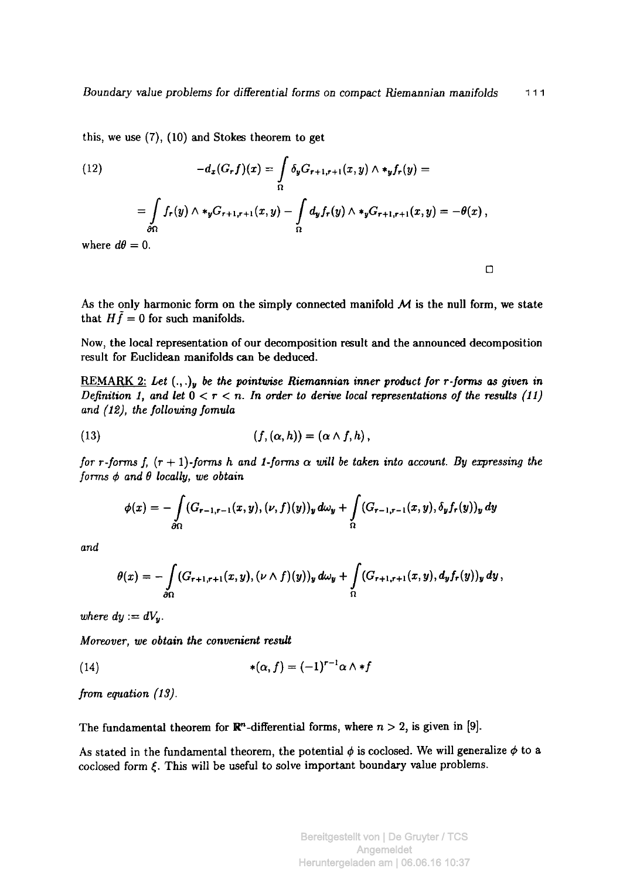this, we use (7), (10) and Stokes theorem to get

(12) 
$$
-d_x(G_r f)(x) = \int_{\Omega} \delta_y G_{r+1,r+1}(x,y) \wedge *_y f_r(y) =
$$

$$
= \int_{\partial \Omega} f_r(y) \wedge *_y G_{r+1,r+1}(x,y) - \int_{\Omega} d_y f_r(y) \wedge *_y G_{r+1,r+1}(x,y) = -\theta(x),
$$
  
where  $d\theta = 0$ .

 $\Box$ 

As the only harmonic form on the simply connected manifold  $M$  is the null form, we state that  $H\tilde{f} = 0$  for such manifolds.

Now, the local representation of our decomposition result and the announced decomposition result for Euclidean manifolds can be deduced.

REMARK 2: Let  $(.,.)$ , be the pointwise Riemannian inner product for r-forms as given in *Definition 1, and let*  $0 < r < n$ . In order to derive local representations of the results (11) *and (12), the following fomula* 

(13) 
$$
(f, (\alpha, h)) = (\alpha \wedge f, h),
$$

*for r-forms f,*  $(r + 1)$ *-forms h and 1-forms*  $\alpha$  *will be taken into account. By expressing the forms φ and θ locally, we obtain* 

$$
\phi(x) = -\int\limits_{\partial\Omega} (G_{r-1,r-1}(x,y),(\nu,f)(y))_y\,d\omega_y + \int\limits_{\Omega} (G_{r-1,r-1}(x,y),\delta_yf_r(y))_y\,dy
$$

*and* 

$$
\theta(x) = -\int\limits_{\partial\Omega} (G_{r+1,r+1}(x,y), (\nu \wedge f)(y))_y \, d\omega_y + \int\limits_{\Omega} (G_{r+1,r+1}(x,y), d_yf_r(y))_y \, dy,
$$

*where*  $dy := dV_y$ *.* 

*Moreover, we obtain the convenient result* 

$$
*(14) \qquad \qquad *(\alpha, f) = (-1)^{r-1} \alpha \wedge *f
$$

*from equation (IS).* 

The fundamental theorem for  $\mathbb{R}^n$ -differential forms, where  $n > 2$ , is given in [9].

As stated in the fundamental theorem, the potential *φ* is coclosed. We will generalize *φ* to a coclosed form *ξ.* This will be useful to solve important boundary value problems.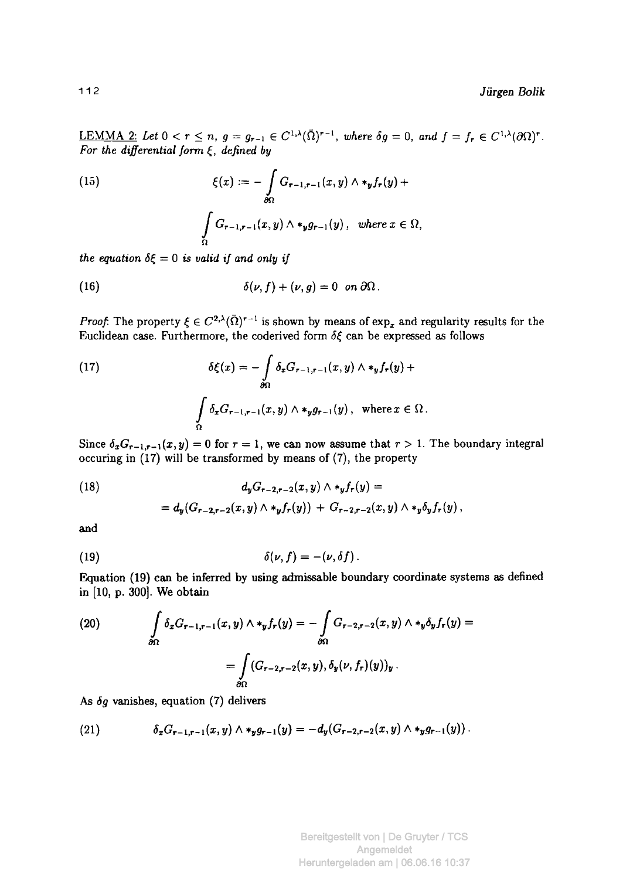<u>LEMMA 2:</u> Let  $0 < r \le n$ ,  $g = g_{r-1} \in C^{1,\lambda}(\bar{\Omega})^{r-1}$ , where  $\delta g = 0$ , and  $f = f_r \in C^{1,\lambda}(\partial \Omega)^r$ . For *the differential form ξ, defined by* 

(15) 
$$
\xi(x) := -\int_{\partial\Omega} G_{r-1,r-1}(x,y) \wedge *_{y} f_{r}(y) + \int_{\Omega} G_{r-1,r-1}(x,y) \wedge *_{y} g_{r-1}(y), \text{ where } x \in \Omega,
$$

*the equation*  $\delta \xi = 0$  *is valid if and only if* 

(16) 
$$
\delta(\nu, f) + (\nu, g) = 0 \text{ on } \partial\Omega.
$$

*Proof.* The property  $\xi \in C^{2,\lambda}(\Omega)^{r-1}$  is shown by means of  $\exp_x$  and regularity results for the Euclidean case. Furthermore, the coderived form *δξ* can be expressed as follows

(17) 
$$
\delta\xi(x) = -\int_{\partial\Omega} \delta_x G_{r-1,r-1}(x,y) \wedge *_y f_r(y) +
$$

$$
\int_{\Omega} \delta_x G_{r-1,r-1}(x,y) \wedge *_y g_{r-1}(y), \text{ where } x \in \Omega.
$$

Since  $\delta_x G_{r-1,r-1}(x, y) = 0$  for  $r = 1$ , we can now assume that  $r > 1$ . The boundary integral occuring in (17) will be transformed by means of (7), the property

(18) 
$$
d_y G_{r-2,r-2}(x,y) \wedge *_{y} f_r(y) =
$$

$$
= d_y (G_{r-2,r-2}(x,y) \wedge *_{y} f_r(y)) + G_{r-2,r-2}(x,y) \wedge *_{y} \delta_y f_r(y),
$$

and

(19) 
$$
\delta(\nu, f) = -(\nu, \delta f).
$$

Equation (19) can be inferred by using admissable boundary coordinate systems as defined in [10, p. 300]. We obtain

(20) 
$$
\int_{\partial\Omega} \delta_x G_{r-1,r-1}(x,y) \wedge *_y f_r(y) = - \int_{\partial\Omega} G_{r-2,r-2}(x,y) \wedge *_y \delta_y f_r(y) =
$$

$$
= \int_{\partial\Omega} (G_{r-2,r-2}(x,y), \delta_y(\nu, f_r)(y))_y.
$$

*As 6g* vanishes, equation (7) delivers

(21) 
$$
\delta_x G_{r-1,r-1}(x,y) \wedge *_{y} g_{r-1}(y) = -d_{y}(G_{r-2,r-2}(x,y) \wedge *_{y} g_{r-1}(y)).
$$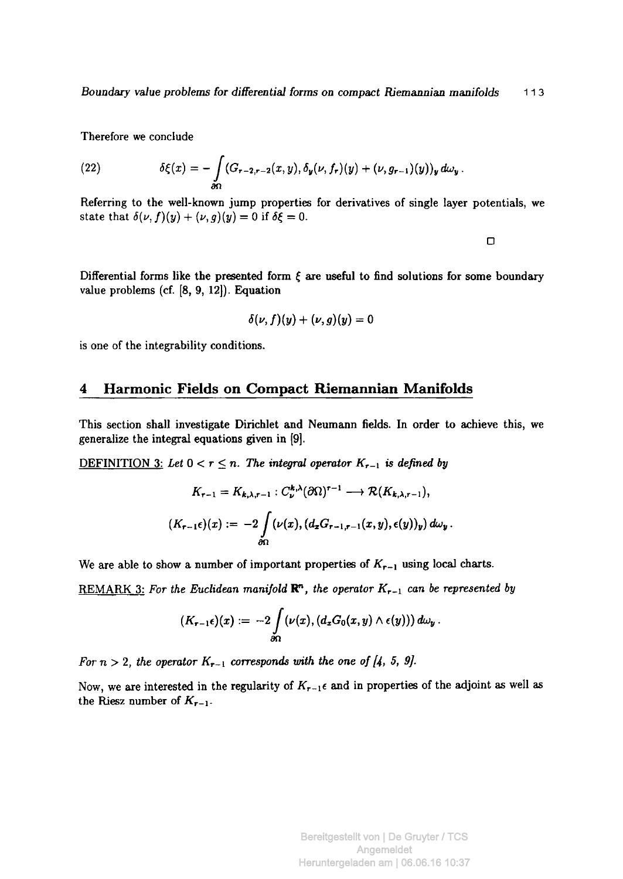Therefore we conclude

(22) 
$$
\delta\xi(x) = -\int\limits_{\partial\Omega} (G_{r-2,r-2}(x,y), \delta_{y}(\nu, f_{r})(y) + (\nu, g_{r-1})(y))_{y} d\omega_{y}.
$$

Referring to the well-known jump properties for derivatives of single layer potentials, we state that  $\delta(\nu, f)(y) + (\nu, g)(y) = 0$  if  $\delta \xi = 0$ .

 $\Box$ 

Differential forms like the presented form  $\xi$  are useful to find solutions for some boundary value problems (cf. [8, 9, 12]). Equation

$$
\delta(\nu,f)(y)+(\nu,g)(y)=0
$$

is one of the integrability conditions.

## **4 Harmonic Fields on Compact Riemannian Manifolds**

This section shall investigate Dirichlet and Neumann fields. In order to achieve this, we generalize the integral equations given in  $[9]$ .

<u>DEFINITION 3:</u> Let  $0 < r \leq n$ . The integral operator  $K_{r-1}$  is defined by

$$
K_{r-1} = K_{k,\lambda,r-1} : C_{\nu}^{k,\lambda}(\partial\Omega)^{r-1} \longrightarrow \mathcal{R}(K_{k,\lambda,r-1}),
$$
  

$$
(K_{r-1}\epsilon)(x) := -2\int_{\partial\Omega} (\nu(x), (d_xG_{r-1,r-1}(x,y), \epsilon(y))_y) d\omega_y.
$$

We are able to show a number of important properties of  $K_{r-1}$  using local charts.

REMARK 3: *For the Euclidean manifold* R", *the operator Kr\_¡ can be represented by* 

$$
(K_{r-1}\epsilon)(x) := -2\int\limits_{\partial\Omega} (\nu(x), (d_xG_0(x,y)\wedge \epsilon(y)))\,d\omega_y\,.
$$

*For n > 2, the operator*  $K_{r-1}$  corresponds with the one of [4, 5, 9].

Now, we are interested in the regularity of  $K_{r-1}$  and in properties of the adjoint as well as the Riesz number of  $K_{r-1}$ .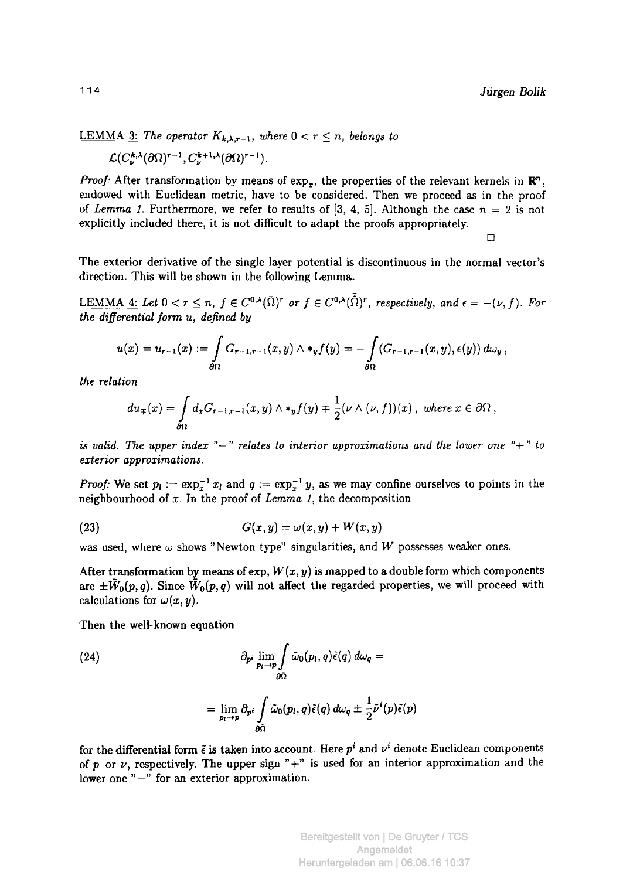### <u>LEMMA 3:</u> The operator  $K_{k,\lambda,r-1}$ , where  $0 < r \leq n$ , belongs to

$$
\mathcal{L}(C_{\nu}^{k,\lambda}(\partial\Omega)^{r-1},C_{\nu}^{k+1,\lambda}(\partial\Omega)^{r-1}).
$$

*Proof:* After transformation by means of  $\exp_{\tau}$ , the properties of the relevant kernels in  $\mathbb{R}^n$ . endowed with Euclidean metric, have to be considered. Then we proceed as in the proof of *Lemma 1*. Furthermore, we refer to results of [3, 4, 5]. Although the case  $n = 2$  is not explicitly included there, it is not difficult to adapt the proofs appropriately.

 $\Box$ 

The exterior derivative of the single layer potential is discontinuous in the normal vector's direction. This will be shown in the following Lemma.

LEMMA 4: Let  $0 < r \leq n$ ,  $f \in C^{0,\lambda}(\bar{\Omega})^r$  or  $f \in C^{0,\lambda}(\bar{\Omega})^r$ , respectively, and  $\epsilon = -(\nu, f)$ . For *the differential form u, defined by* 

$$
u(x)=u_{r-1}(x):=\int\limits_{\partial\Omega}G_{r-1,r-1}(x,y)\wedge\star_y f(y)=-\int\limits_{\partial\Omega}(G_{r-1,r-1}(x,y),\epsilon(y))\,d\omega_y\,,
$$

 $the$  *relation* 

$$
du_{\mp}(x)=\int\limits_{\partial\Omega}d_xG_{r-1,r-1}(x,y)\wedge *_y f(y)\mp \frac{1}{2}(\nu\wedge(\nu,f))(x)\ ,\ where\ x\in\partial\Omega\ ,
$$

*is valid. The upper index*  $"$ -" *relates to interior approximations and the lower one*  $"$ +" *to*  $exterior approximation$ *s*.

*Proof:* We set  $p_i := \exp_x^{-1} x_i$  and  $q := \exp_x^{-1} y$ , as we may confine ourselves to points in the neighbourhood of  $x$ . In the proof of *Lemma 1*, the decomposition

$$
(23) \hspace{1cm} G(x,y) = \omega(x,y) + W(x,y)
$$

was used, where *ω* shows "Newton-type" singularities, and *W* possesses weaker ones.

After transformation by means of  $\exp W(x, y)$  is mapped to a double form which components are  $\pm \tilde{W}_0(p,q)$ . Since  $\tilde{W}_0(p,q)$  will not affect the regarded properties, we will proceed with calculations for  $\omega(x,y)$ *.* 

Then the well-known equation

(24)  
\n
$$
\partial_{p^i} \lim_{p_l \to p} \int_{\partial \tilde{\Omega}} \tilde{\omega}_0(p_l, q) \tilde{\epsilon}(q) d\omega_q =
$$
\n
$$
= \lim_{p_l \to p} \partial_{p^i} \int_{\partial \tilde{\Omega}} \tilde{\omega}_0(p_l, q) \tilde{\epsilon}(q) d\omega_q \pm \frac{1}{2} \tilde{\nu}^i(p) \tilde{\epsilon}(p)
$$

for the differential form  $\tilde{\epsilon}$  is taken into account. Here  $p^i$  and  $\nu^i$  denote Euclidean components of p or  $\nu$ , respectively. The upper sign "+" is used for an interior approximation and the lower one " $-$ " for an exterior approximation.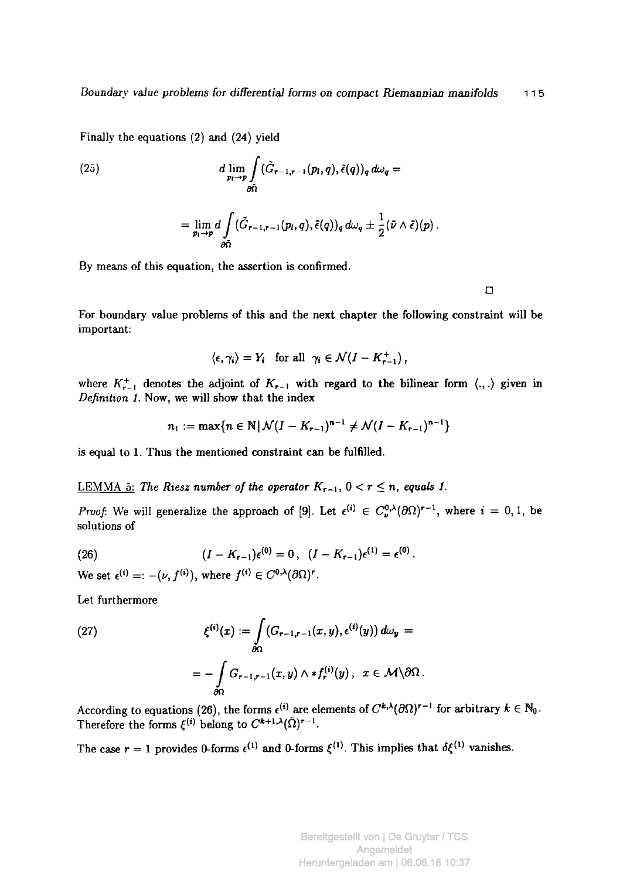Finally the equations (2) and (24) yield

(25)  
\n
$$
d \lim_{p_l \to p} \int_{\partial \tilde{\Omega}} (\tilde{G}_{r-1,r-1}(p_l, q), \tilde{\epsilon}(q))_q d\omega_q =
$$
\n
$$
= \lim_{p_l \to p} d \int_{\partial \tilde{\Omega}} (\tilde{G}_{r-1,r-1}(p_l, q), \tilde{\epsilon}(q))_q d\omega_q \pm \frac{1}{2} (\tilde{\nu} \wedge \tilde{\epsilon})(p).
$$

By means of this equation, the assertion is confirmed.

 $\Box$ 

For boundary value problems of this and the next chapter the following constraint will be important:

$$
\langle \epsilon, \gamma_i \rangle = Y_i \quad \text{for all} \quad \gamma_i \in \mathcal{N}(I - K_{r-1}^+),
$$

where  $K_{r-1}^+$  denotes the adjoint of  $K_{r-1}$  with regard to the bilinear form  $\langle ., . \rangle$  given in *Definition 1.* Now, we will show that the index

$$
n_1 := \max\{n \in \mathbb{N} \,|\, \mathcal{N}(I - K_{r-1})^{n-1} \neq \mathcal{N}(I - K_{r-1})^{n-1}\}
$$

is equal to 1. Thus the mentioned constraint can be fulfilled.

## LEMMA 5: The Riesz number of the operator  $K_{r-1}$ ,  $0 < r \leq n$ , equals 1.

*Proof.* We will generalize the approach of [9]. Let  $\epsilon^{(1)} \in C_{\nu}^{0}(\partial\Omega)^{r-1}$ , where  $i = 0, 1$ , be solutions of

(26) 
$$
(I - K_{r-1})\epsilon^{(0)} = 0, \ \ (I - K_{r-1})\epsilon^{(1)} = \epsilon^{(0)}.
$$

We set  $\epsilon^{(i)} = -(\nu, f^{(i)})$ , where  $f^{(i)} \in C^{0,\lambda}(\partial\Omega)^r$ .

Let furthermore

(27) 
$$
\xi^{(i)}(x) := \int_{\partial\Omega} (G_{r-1,r-1}(x,y), \epsilon^{(i)}(y)) d\omega_y = - \int_{\partial\Omega} G_{r-1,r-1}(x,y) \wedge *f_r^{(i)}(y), \quad x \in \mathcal{M} \setminus \partial\Omega.
$$

According to equations (26), the forms  $\epsilon^{(1)}$  are elements of  $C^{\kappa,\lambda}(\partial\Omega)^{r-1}$  for arbitrary  $k \in \mathbb{N}_0$ . Therefore the forms  $\xi^{(i)}$  belong to  $C^{k+1,\lambda}(\Omega)^{r-1}$ .

The case  $r = 1$  provides 0-forms  $\epsilon^{(1)}$  and 0-forms  $\xi^{(1)}$ . This implies that  $\delta \xi^{(1)}$  vanishes.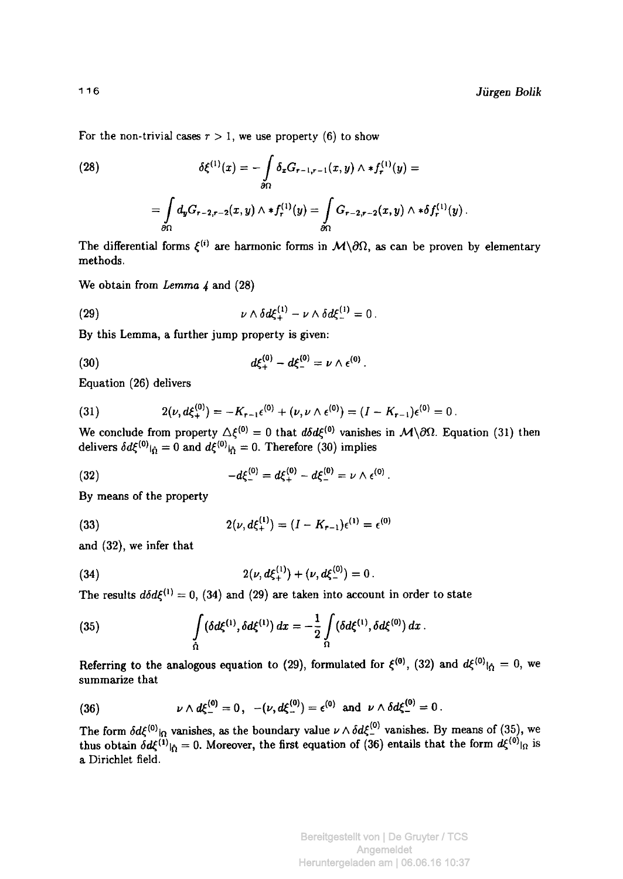For the non-trivial cases  $r > 1$ , we use property (6) to show

(28) 
$$
\delta \xi^{(1)}(x) = -\int_{\partial \Omega} \delta_x G_{r-1,r-1}(x,y) \wedge *f_r^{(1)}(y) =
$$

$$
= \int_{\partial \Omega} d_y G_{r-2,r-2}(x,y) \wedge *f_r^{(1)}(y) = \int_{\partial \Omega} G_{r-2,r-2}(x,y) \wedge * \delta f_r^{(1)}(y) .
$$

The differential forms  $\xi^{(i)}$  are harmonic forms in  $\mathcal{M}\setminus\partial\Omega$ , as can be proven by elementary methods.

We obtain from *Lemma 4* and (28)

(29) 
$$
\nu \wedge \delta d\xi_{+}^{(1)} - \nu \wedge \delta d\xi_{-}^{(1)} = 0.
$$

By this Lemma, a further jump property is given:

(30) 
$$
d\xi_{+}^{(0)} - d\xi_{-}^{(0)} = \nu \wedge \epsilon_{-}^{(0)}.
$$

Equation (26) delivers

(31) 
$$
2(\nu, d\xi_+^{(0)}) = -K_{r-1}\epsilon^{(0)} + (\nu, \nu \wedge \epsilon^{(0)}) = (I - K_{r-1})\epsilon^{(0)} = 0.
$$

We conclude from property  $\Delta \xi^{(0)} = 0$  that  $d\delta d\xi^{(0)}$  vanishes in  $\mathcal{M}\setminus \partial\Omega$ . Equation (31) then delivers  $\delta d\xi^{(0)}|_{\hat{\Omega}} = 0$  and  $d\xi^{(0)}|_{\hat{\Omega}} = 0$ . Therefore (30) implies

(32) 
$$
-d\xi_{-}^{(0)}=d\xi_{+}^{(0)}-d\xi_{-}^{(0)}=\nu\wedge\epsilon_{-}^{(0)}.
$$

By means of the property

(33) 
$$
2(\nu, d\xi_{+}^{(1)}) = (I - K_{r-1})\epsilon_{-}^{(1)} = \epsilon_{-}^{(0)}
$$

and (32), we infer that

(34) 
$$
2(\nu, d\xi_+^{(1)}) + (\nu, d\xi_-^{(0)}) = 0.
$$

The results  $d\delta d\xi^{(1)} = 0$ , (34) and (29) are taken into account in order to state

(35) 
$$
\int\limits_{\Omega} (\delta d\xi^{(1)}, \delta d\xi^{(1)}) dx = -\frac{1}{2} \int\limits_{\Omega} (\delta d\xi^{(1)}, \delta d\xi^{(0)}) dx.
$$

Referring to the analogous equation to (29), formulated for  $\xi^{(0)}$ , (32) and  $d\xi^{(0)}|_{\hat{\Omega}}=0$ , we summarize that

(36) 
$$
\nu \wedge d\xi_{-}^{(0)} = 0
$$
,  $-(\nu, d\xi_{-}^{(0)}) = \epsilon^{(0)}$  and  $\nu \wedge \delta d\xi_{-}^{(0)} = 0$ .

The form  $\delta d\xi^{(0)}|_{\Omega}$  vanishes, as the boundary value  $\nu \wedge d\xi^{\vee}$  vanishes. By means of (35), we thus obtain  $\delta d\xi^{(1)}|_{\hat{\Omega}} = 0$ . Moreover, the first equation of (36) entails that the form  $d\xi^{(0)}|_{\Omega}$  is a Dirichlet field.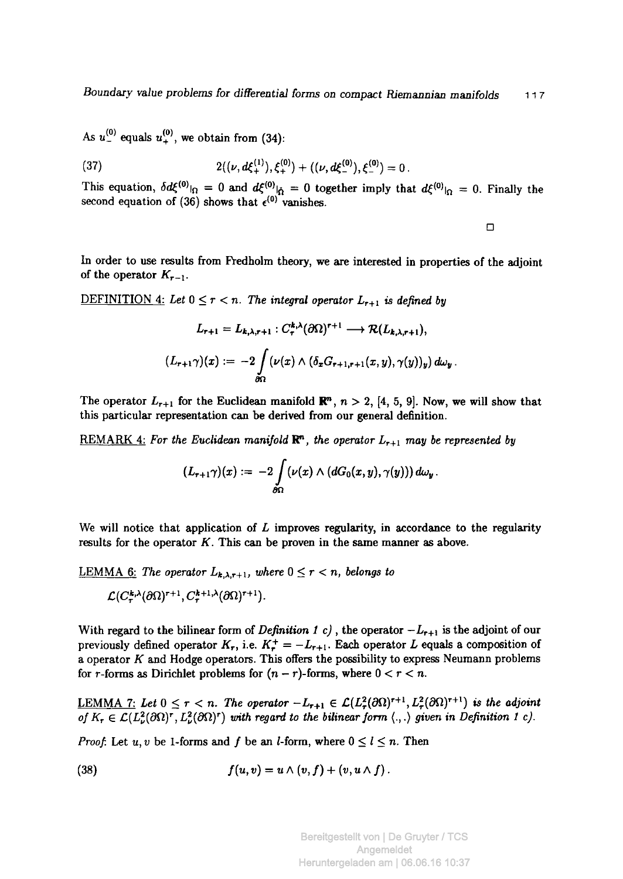As  $u_{-}^{(0)}$  equals  $u_{+}^{(0)}$ , we obtain from (34):

(37) 
$$
2((\nu, d\xi_+^{(1)}), \xi_+^{(0)}) + ((\nu, d\xi_-^{(0)}), \xi_-^{(0)}) = 0.
$$

This equation,  $\delta d\xi^{(0)}|_{\Omega} = 0$  and  $d\xi^{(0)}|_{\tilde{\Omega}} = 0$  together imply that  $d\xi^{(0)}|_{\Omega} = 0$ . Finally the second equation of (36) shows that  $\epsilon^{(0)}$  vanishes.

 $\Box$ 

In order to use results from Fredholm theory, we are interested in properties of the adjoint of the operator  $K_{r-1}$ .

DEFINITION 4: Let  $0 \leq r < n$ . The integral operator  $L_{r+1}$  is defined by

$$
L_{r+1} = L_{k,\lambda,r+1} : C_r^{k,\lambda}(\partial\Omega)^{r+1} \longrightarrow \mathcal{R}(L_{k,\lambda,r+1}),
$$
  

$$
(L_{r+1}\gamma)(x) := -2 \int_{\partial\Omega} (\nu(x) \wedge (\delta_x G_{r+1,r+1}(x,y), \gamma(y))_y) d\omega_y.
$$

The operator  $L_{r+1}$  for the Euclidean manifold  $\mathbb{R}^n$ ,  $n > 2$ , [4, 5, 9]. Now, we will show that this particular representation can be derived from our general definition.

REMARK 4: *For the Euclidean manifold* **R",** *the operator Lr+i may be represented by* 

$$
(L_{r+1}\gamma)(x) := -2\int\limits_{\partial\Omega} (\nu(x)\wedge (dG_0(x,y),\gamma(y)))\,d\omega_y\,.
$$

We will notice that application of *L* improves regularity, in accordance to the regularity results for the operator  $K$ . This can be proven in the same manner as above.

<u>LEMMA 6:</u> The operator  $L_{k,\lambda,r+1}$ *, where*  $0 \leq r < n$ *, belongs to*  $\mathcal{L}(C^{\kappa,\lambda}_{\tau}(\partial\Omega)^{r+1},C^{\kappa+1,\lambda}_{\tau}(\partial\Omega)^{r+1}).$ 

With regard to the bilinear form of *Definition 1 c)*, the operator  $-L_{r+1}$  is the adjoint of our previously defined operator  $K_r$ , i.e.  $K_r^+ = -L_{r+1}$ . Each operator L equals a composition of a operator Κ and Hodge operators. This offers the possibility to express Neumann problems for r-forms as Dirichlet problems for  $(n - r)$ -forms, where  $0 < r < n$ .

<u>LEMMA 7:</u> Let  $0 \leq r < n$ . The operator  $-L_{r+1} \in \mathcal{L}(L_r^2(\partial\Omega)^{r+1},L_r^2(\partial\Omega)^{r+1})$  is the adjoint of  $K_r \in \mathcal{L}(L^2(\partial\Omega)^r, L^2(\partial\Omega)^r)$  with regard to the bilinear form  $\langle .,.\rangle$  given in Definition 1 c).

*Proof.* Let  $u, v$  be 1-forms and f be an *l*-form, where  $0 \le l \le n$ . Then

(38) 
$$
f(u, v) = u \wedge (v, f) + (v, u \wedge f).
$$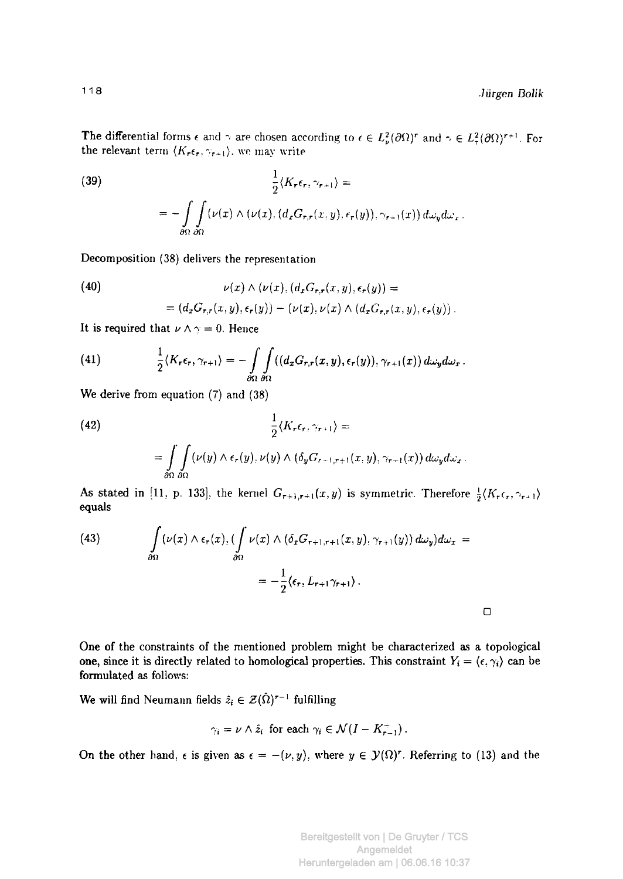The differential forms  $\epsilon$  and  $\gamma$  are chosen according to  $\epsilon \in L^2_{\alpha}(\partial\Omega)^r$  and  $\gamma \in L^2_{\alpha}(\partial\Omega)^{r+1}$ . For the relevant term  $\langle K_r \epsilon_r, \gamma_{r+1} \rangle$ , we may write

(39)  
\n
$$
\frac{1}{2}\langle K_{r}\epsilon_{r}, \gamma_{r+1}\rangle =
$$
\n
$$
= -\int_{\partial\Omega} \int_{\partial\Omega} (\nu(x) \wedge (\nu(x), (d_{x}G_{r,r}(x, y), \epsilon_{r}(y)), \gamma_{r+1}(x)) d\omega_{y} d\omega_{r}.
$$

Decomposition (38) delivers the representation

(40)  
\n
$$
\nu(x) \wedge (\nu(x), (d_x G_{r,r}(x, y), \epsilon_r(y)) =
$$
\n
$$
= (d_x G_{r,r}(x, y), \epsilon_r(y)) - (\nu(x), \nu(x) \wedge (d_x G_{r,r}(x, y), \epsilon_r(y)).
$$

It is required that  $\nu \wedge \gamma = 0$ . Hence

(41) 
$$
\frac{1}{2}\langle K_r\epsilon_r, \gamma_{r+1}\rangle = -\int\limits_{\partial\Omega}\int\limits_{\partial\Omega}((d_xG_{r,r}(x,y), \epsilon_r(y)), \gamma_{r+1}(x))\,d\omega_yd\omega_x.
$$

We derive from equation (7) and (38)

(42)  
\n
$$
\frac{1}{2}\langle K_r\epsilon_r, \gamma_{r+1}\rangle =
$$
\n
$$
= \int_{\partial\Omega} \int_{\partial\Omega} (\nu(y) \wedge \epsilon_r(y), \nu(y) \wedge (\delta_y G_{r+1,r+1}(x, y), \gamma_{r+1}(x)) d\omega_y d\omega_x.
$$

As stated in [11, p. 133], the kernel  $G_{r+1,r+1}(x,y)$  is symmetric. Therefore  $\frac{1}{2}\langle K_r\epsilon_r, \gamma_{r+1}\rangle$ equals

(43) 
$$
\int_{\partial\Omega} (\nu(x) \wedge \epsilon_r(x), (\int_{\partial\Omega} \nu(x) \wedge (\delta_x G_{r+1,r+1}(x,y), \gamma_{r+1}(y)) d\omega_y) d\omega_x = -\frac{1}{2} \langle \epsilon_r, L_{r+1} \gamma_{r+1} \rangle.
$$

One of the constraints of the mentioned problem might be characterized as a topological one, since it is directly related to homological properties. This constraint  $Y_i = \langle \epsilon, \gamma_i \rangle$  can be formulated as follows:

We will find Neumann fields  $\hat{z}_i \in \mathcal{Z}(\hat{\Omega})^{r-1}$  fulfilling

$$
\gamma_i = \nu \wedge \hat{z}_i \text{ for each } \gamma_i \in \mathcal{N}(I - K_{r-1}^+).
$$

On the other hand,  $\epsilon$  is given as  $\epsilon = -(\nu, y)$ , where  $y \in \mathcal{Y}(\Omega)^r$ . Referring to (13) and the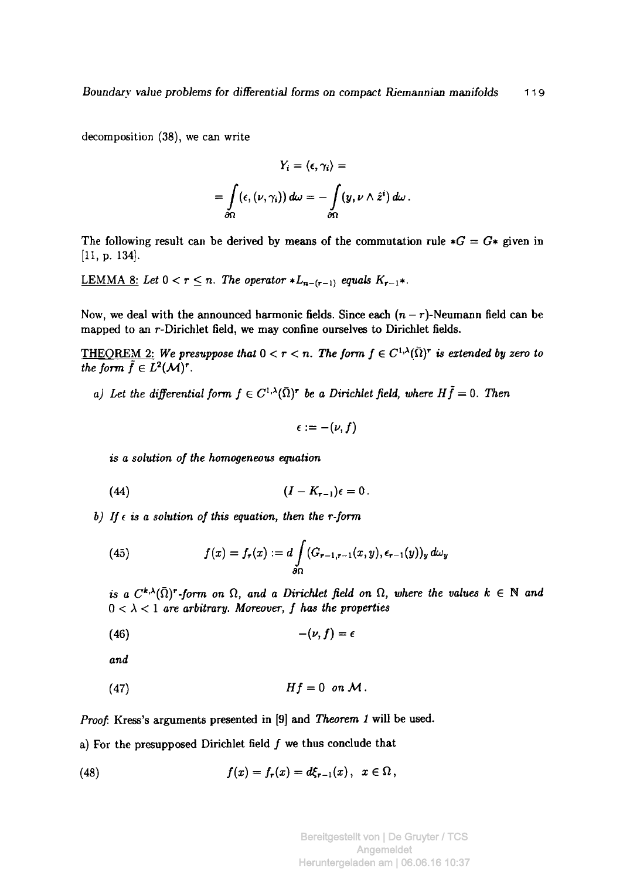decomposition (38), we can write

$$
Y_i = \langle \epsilon, \gamma_i \rangle =
$$
  
= 
$$
\int_{\partial \Omega} (\epsilon, (\nu, \gamma_i)) d\omega = - \int_{\partial \Omega} (y, \nu \wedge \hat{z}^i) d\omega.
$$

The following result can be derived by means of the commutation rule  $*G = G*$  given in [11, p. 134].

<u>LEMMA 8:</u> Let  $0 < r \leq n$ . The operator  $*L_{n-(r-1)}$  equals  $K_{r-1}*$ .

Now, we deal with the announced harmonic fields. Since each  $(n - r)$ -Neumann field can be mapped to an r-Dirichlet field, we may confine ourselves to Dirichlet fields.

THEOREM 2: We presuppose that  $0 < r < n$ . The form  $f \in C^{1,\lambda}(\bar{\Omega})^r$  is extended by zero to *the form*  $\tilde{f} \in L^2(\mathcal{M})^r$ .

a) Let the differential form  $f \in C^{1,\lambda}(\bar{\Omega})^r$  be a Dirichlet field, where  $H\tilde{f} = 0$ . Then

$$
\epsilon:=-(\nu,f)
$$

*is a solution of the homogeneous equation* 

$$
(44) \qquad (I - K_{r-1})\epsilon = 0 \, .
$$

*b)* If  $\epsilon$  is a solution of this equation, then the r-form

(45) 
$$
f(x) = f_r(x) := d \int_{\partial \Omega} (G_{r-1,r-1}(x,y), \epsilon_{r-1}(y))_y d\omega_y
$$

*is a*  $C^{k,\lambda}(\bar{\Omega})^r$ -form on  $\Omega$ , and a Dirichlet field on  $\Omega$ , where the values  $k \in \mathbb{N}$  and  $0 < \lambda < 1$  are arbitrary. Moreover, f has the properties

$$
(46) \qquad \qquad -(\nu, f) = \epsilon
$$

*and* 

(47) *Hf =* 0 *onM.* 

*Proof.* Kress's arguments presented in [9] and *Theorem 1* will be used,

a) For the presupposed Dirichlet field  $f$  we thus conclude that

(48) 
$$
f(x) = f_r(x) = d\xi_{r-1}(x), \ \ x \in \Omega,
$$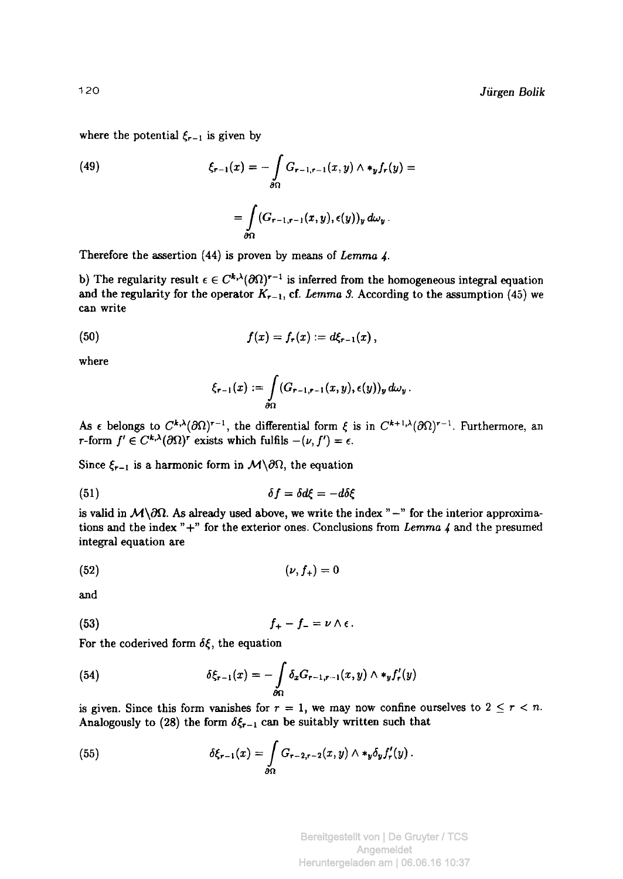where the potential  $\xi_{r-1}$  is given by

(49) 
$$
\xi_{r-1}(x) = -\int\limits_{\partial\Omega} G_{r-1,r-1}(x,y) \wedge *_{y} f_{r}(y) =
$$

$$
= \int\limits_{\partial\Omega} (G_{r-1,r-1}(x,y), \epsilon(y))_{y} d\omega_{y}.
$$

Therefore the assertion (44) is proven by means of *Lemma 4-*

b) The regularity result  $\epsilon \in C^{k,\lambda}(\partial \Omega)^{r-1}$  is inferred from the homogeneous integral equation and the regularity for the operator  $K_{r-1}$ , cf. Lemma 3. According to the assumption (45) we can write

(50) 
$$
f(x) = f_r(x) := d\xi_{r-1}(x),
$$

where

$$
\xi_{r-1}(x):=\int\limits_{\partial\Omega} (G_{r-1,r-1}(x,y),\epsilon(y))_y\,d\omega_y\,.
$$

As  $\epsilon$  belongs to  $C^{k,\lambda}(\partial\Omega)^{r-1}$ , the differential form  $\xi$  is in  $C^{k+1,\lambda}(\partial\Omega)^{r-1}$ . Furthermore, an  $r$ -form  $f' \in C^{k,\lambda}(\partial\Omega)^r$  exists which fulfils  $-(\nu, f') = \epsilon$ .

Since  $\xi_{r-1}$  is a harmonic form in  $M\setminus\partial\Omega$ , the equation

$$
\delta f = \delta d\xi = -d\delta\xi
$$

is valid in  $M\setminus\partial\Omega$ . As already used above, we write the index "-" for the interior approximations and the index "+" for the exterior ones. Conclusions from *Lemma 4* and the presumed integral equation are

$$
(52) \qquad \qquad (\nu, f_+) = 0
$$

and

$$
(53) \t\t\t f_{+}-f_{-}=\nu\wedge\epsilon.
$$

For the coderived form *δξ,* the equation

(54) 
$$
\delta \xi_{r-1}(x) = - \int \limits_{\partial \Omega} \delta_x G_{r-1,r-1}(x,y) \wedge \ast_y f'_r(y)
$$

is given. Since this form vanishes for  $r = 1$ , we may now confine ourselves to  $2 \le r < n$ . Analogously to (28) the form  $\delta \xi_{r-1}$  can be suitably written such that

(55) 
$$
\delta \xi_{r-1}(x) = \int_{\partial \Omega} G_{r-2,r-2}(x,y) \wedge \ast_y \delta_y f'_r(y) .
$$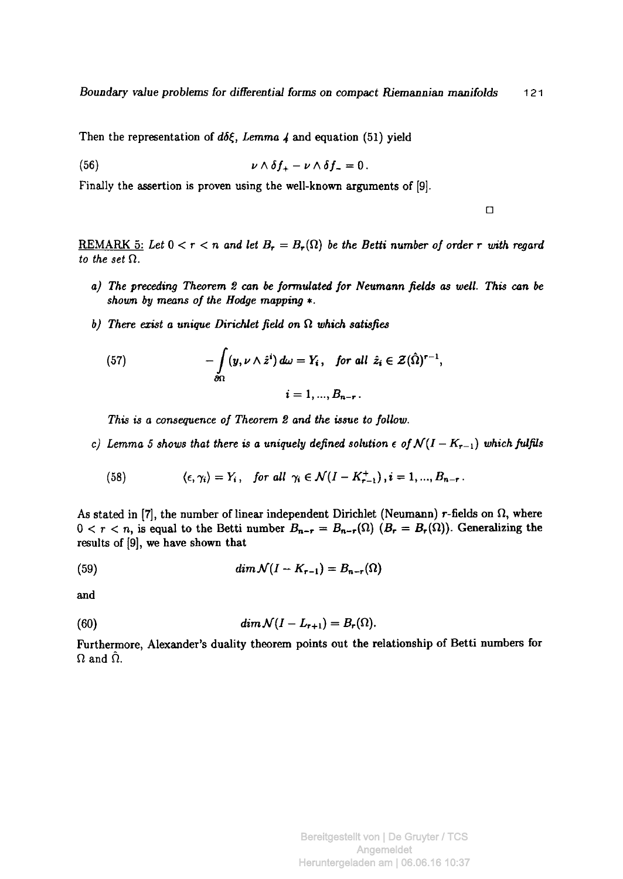Then the representation of *άδξ, Lemma 4* and equation (51) yield

$$
\nu \wedge \delta f_+ - \nu \wedge \delta f_- = 0.
$$

Finally the assertion is proven using the well-known arguments of [9].

 $\Box$ 

REMARK 5: Let  $0 < r < n$  and let  $B_r = B_r(\Omega)$  be the Betti number of order r with regard *to the set* Ω.

- *a) The preceding Theorem 2 can be formulated for Neumann fields as well. This can be shown by means of the Hodge mapping \*.*
- *b) There exist a unique Dirichlet field on* Ω *which satisfies*

(57) 
$$
-\int_{\partial\Omega} (y, \nu \wedge \hat{z}^i) d\omega = Y_i, \text{ for all } \hat{z}_i \in \mathcal{Z}(\hat{\Omega})^{r-1},
$$

$$
i = 1, ..., B_{n-r}.
$$

*This is a consequence of Theorem Ζ and the issue to follow.* 

*c)* Lemma 5 shows that there is a uniquely defined solution  $\epsilon$  of  $\mathcal{N}(I - K_{r-1})$  which fulfils

(58) 
$$
\langle \epsilon, \gamma_i \rangle = Y_i, \quad \text{for all } \gamma_i \in \mathcal{N}(I - K_{r-1}^+), i = 1, ..., B_{n-r}.
$$

*As* stated in [7], the number of linear independent Dirichlet (Neumann) *r-*fields on Ω, where  $0 < r < n$ , is equal to the Betti number  $B_{n-r} = B_{n-r}(\Omega)$   $(B_r = B_r(\Omega))$ . Generalizing the results of [9], we have shown that

(59) 
$$
\dim \mathcal{N}(I - K_{r-1}) = B_{n-r}(\Omega)
$$

and

(60) 
$$
\dim \mathcal{N}(I-L_{r+1})=B_r(\Omega).
$$

Furthermore, Alexander's duality theorem points out the relationship of Betti numbers for  $\Omega$  and  $\Omega$ .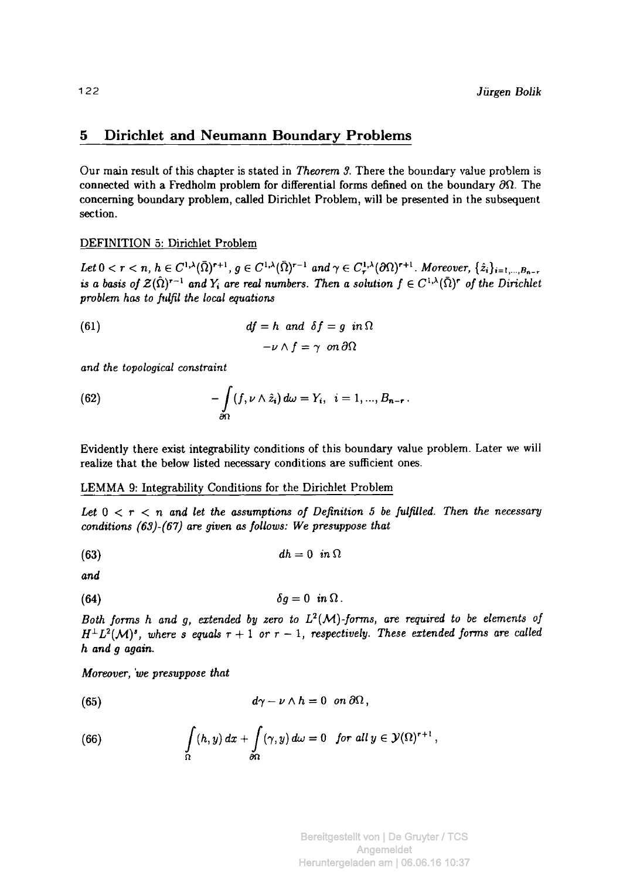## **5 Dirichlet and Neumann Boundary Problems**

Our main result of this chapter is stated in *Theorem 3.* There the boundary value problem is connected with a Fredholm problem for differential forms defined on the boundary  $\partial Ω$ . The concerning boundary problem, called Dirichlet Problem, will be presented in the subsequent section.

DEFINITION 5: Dirichlet Problem

Let  $0 < r < n$ ,  $h \in C^{1,\lambda}(\Omega)^{r+1}$ ,  $g \in C^{1,\lambda}(\Omega)^{r-1}$  and  $\gamma \in C^{1,\lambda}_r(\partial \Omega)^{r+1}$ . Moreover *is a basis of*  $\mathcal{Z}(\Omega)^{r-1}$  and  $Y_i$  are real numbers. Then a solution  $f \in C^{1,\lambda}(\Omega)^r$  of the Dirichlet *problem has to fulfil the local equations* 

(61) 
$$
df = h \text{ and } \delta f = g \text{ in } \Omega
$$

$$
-\nu \wedge f = \gamma \quad \text{on } \partial \Omega
$$

*and the topological constraint* 

(62) 
$$
-\int_{\partial\Omega} (f, \nu \wedge \hat{z}_i) d\omega = Y_i, \ \ i = 1, ..., B_{n-r}.
$$

Evidently there exist integrability conditions of this boundary value problem. Later we will realize that the below listed necessary conditions are sufficient ones.

## LEMMA 9: Integrability Conditions for the Dirichlet Problem

*Let 0 < r < η and let the assumptions of Definition 5 be fulßled. Then the necessary conditions (63)-(67) are given as follows: We presuppose that* 

$$
(63) \t\t\t\t dh = 0 \t\t in \Omega
$$

*and* 

$$
\delta g=0 \ \ in \ \Omega \ .
$$

*Both forms h and g, extended by zero to L<sup>2</sup> (M)-forms, are required to be elements of*   $H^{\perp}L^2(\mathcal{M})^s$ , where s equals  $r+1$  or  $r-1$ , respectively. These extended forms are called *h and g again.* 

*Moreover, 'we presuppose that* 

(65) 
$$
d\gamma - \nu \wedge h = 0 \quad on \ \partial\Omega\,,
$$

(66) 
$$
\int_{\Omega} (h, y) dx + \int_{\partial \Omega} (\gamma, y) d\omega = 0 \text{ for all } y \in \mathcal{Y}(\Omega)^{r+1},
$$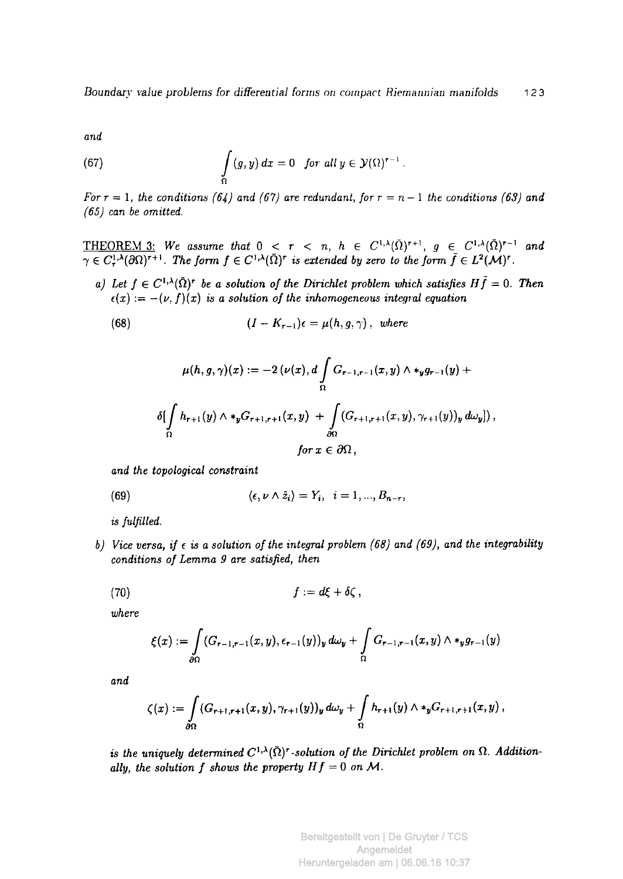*and* 

(67) 
$$
\int_{\Omega} (g, y) dx = 0 \text{ for all } y \in \mathcal{Y}(\Omega)^{r-1}.
$$

*For*  $r = 1$ , the conditions (64) and (67) are redundant, for  $r = n - 1$  the conditions (63) and *(65) can be omitted.* 

**THEOREM** 3: We assume that  $0 < r < n$ ,  $h \in C^{1,\lambda}(\Omega)^{r+1}$ ,  $g \in C^{1,\lambda}(\Omega)^{r-1}$  and  $\gamma \in C^{1,\lambda}_\tau(\partial\Omega)^{r+1}$ . The form  $f \in C^{1,\lambda}(\Omega)^r$  is extended by zero to the form  $f \in L^2(\mathcal{M})^r$ .

*a)* Let  $f \in C^{1,\lambda}(\bar{\Omega})^r$  be a solution of the Dirichlet problem which satisfies  $H\tilde{f} = 0$ . Then  $\epsilon(x) := -(\nu, f)(x)$  *is a solution of the inhomogeneous integral equation* 

(68) 
$$
(I - K_{r-1})\epsilon = \mu(h, g, \gamma), \text{ where}
$$

$$
\mu(h,g,\gamma)(x) := -2\left(\nu(x),d\int_{\Omega}G_{r-1,r-1}(x,y)\wedge *_y g_{r-1}(y) + \delta\left(\int_{\Omega}h_{r+1}(y)\wedge *_y G_{r+1,r+1}(x,y) + \int_{\partial\Omega}(G_{r+1,r+1}(x,y),\gamma_{r+1}(y))_y\,d\omega_y\right)\right),
$$
  
for  $x\in\partial\Omega$ ,

*and the topological constraint* 

(69) 
$$
\langle \epsilon, \nu \wedge \hat{z}_i \rangle = Y_i, \quad i = 1, ..., B_{n-r},
$$

*is fulfilled.* 

*b) Vice versa, if e is a solution of the integral problem (68) and (69), and the integrability conditions of Lemma 9 are satisfied, then* 

$$
(70) \t\t\t f := d\xi + \delta\zeta,
$$

*where* 

$$
\xi(x):=\int\limits_{\partial\Omega} (G_{r-1,r-1}(x,y),\epsilon_{r-1}(y))_y\,d\omega_y+\int\limits_{\Omega} G_{r-1,r-1}(x,y)\wedge\star_y g_{r-1}(y)
$$

*and* 

$$
\zeta(x) := \int\limits_{\partial\Omega} (G_{r+1,r+1}(x,y), \gamma_{r+1}(y))_y \, d\omega_y + \int\limits_{\Omega} h_{r+1}(y) \wedge \ast_y G_{r+1,r+1}(x,y),
$$

*is the uniquely determined C<sup>l</sup> 'x{Q)r-solution of the Dirichlet problem on* **Ω.** *Additionally, the solution f shows the property*  $Hf = 0$  *on M.*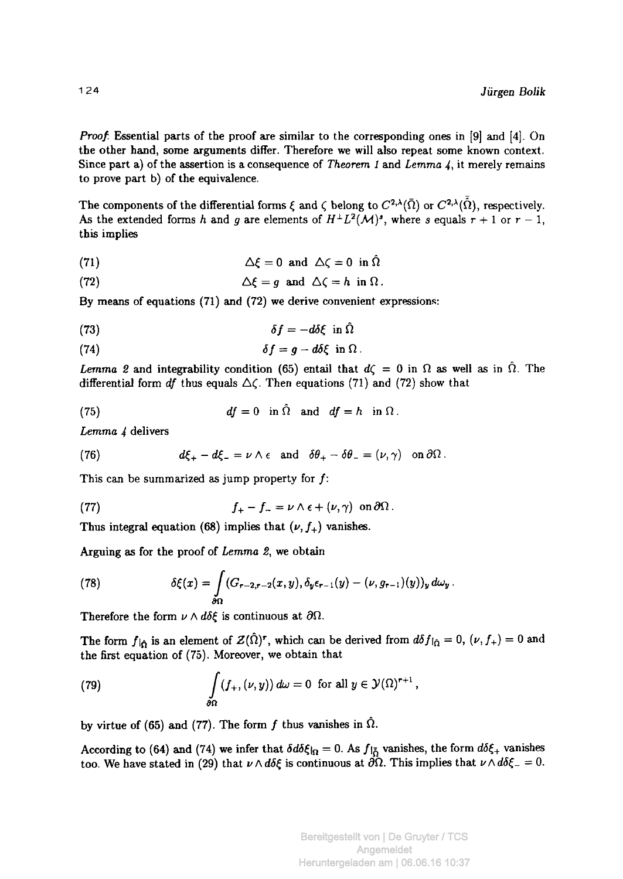*Proof.* Essential parts of the proof are similar to the corresponding ones in [9] and [4]. On **the other hand, some arguments differ. Therefore we will also repeat some known context. Since part a) of the assertion is a consequence of** *Theorem 1* **and** *Lemma 4,* **it merely remains to prove part b) of the equivalence.** 

The components of the differential forms  $\xi$  and  $\zeta$  belong to  $C^{2,\lambda}(\bar{\Omega})$  or  $C^{2,\lambda}(\bar{\Omega})$ , respectively. As the extended forms h and g are elements of  $H^{\perp}L^2(\mathcal{M})^s$ , where s equals  $r + 1$  or  $r - 1$ , **this implies** 

(71) 
$$
\Delta \xi = 0 \text{ and } \Delta \zeta = 0 \text{ in } \Omega
$$

(72) 
$$
\Delta \xi = g \text{ and } \Delta \zeta = h \text{ in } \Omega.
$$

**By means of equations (71) and (72) we derive convenient expressions:** 

$$
\delta f = -d\delta \xi \text{ in } \hat{\Omega}
$$

(74) 
$$
\delta f = g - d \delta \xi \text{ in } \Omega.
$$

*Lemma 2* and integrability condition (65) entail that  $d\zeta = 0$  in  $\Omega$  as well as in  $\hat{\Omega}$ . The **differential form** *df* **thus equals Δ(. Then equations (71) and (72) show that** 

(75) 
$$
df = 0 \text{ in } \Omega \text{ and } df = h \text{ in } \Omega.
$$

*Lemma 4* **delivers** 

(76) 
$$
d\xi_{+} - d\xi_{-} = \nu \wedge \epsilon \text{ and } \delta\theta_{+} - \delta\theta_{-} = (\nu, \gamma) \text{ on } \partial\Omega.
$$

This can be summarized as jump property for f:

(77) 
$$
f_{+} - f_{-} = \nu \wedge \epsilon + (\nu, \gamma) \text{ on } \partial \Omega.
$$

Thus integral equation (68) implies that  $(\nu, f_+)$  vanishes.

**Arguing as for the proof of** *Lemma 2,* **we obtain** 

(78) 
$$
\delta \xi(x) = \int_{\partial \Omega} (G_{r-2,r-2}(x,y), \delta_y \epsilon_{r-1}(y) - (\nu, g_{r-1})(y))_y d\omega_y.
$$

**Therefore the form**  $\nu \wedge d\delta \xi$  is continuous at  $\partial \Omega$ .

The form  $f_{\hat{\theta}}$  is an element of  $Z(\hat{\Omega})^r$ , which can be derived from  $d\delta f_{\hat{\Omega}} = 0$ ,  $(\nu, f_+) = 0$  and **the first equation of (75). Moreover, we obtain that** 

(79) 
$$
\int_{\partial\Omega} (f_+, (\nu, y)) d\omega = 0 \text{ for all } y \in \mathcal{Y}(\Omega)^{r+1},
$$

by virtue of (65) and (77). The form  $f$  thus vanishes in  $\hat{\Omega}$ .

According to (64) and (74) we infer that  $\delta d\delta \xi$ <sub> $\Omega$ </sub> = 0. As  $f_{\delta}$  vanishes, the form  $d\delta \xi$ <sub>+</sub> vanishes **too. We have stated in (29) that**  $\nu \wedge d\delta \xi$  is continuous at  $\partial \Omega$ . This implies that  $\nu \wedge d\delta \xi = 0$ .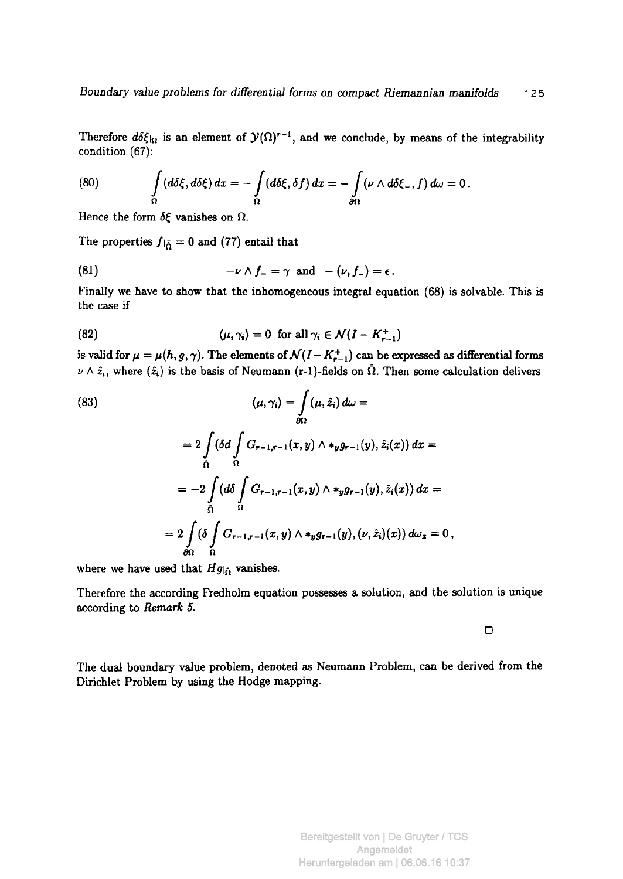Therefore  $d\delta\xi_{\vert\Omega}$  is an element of  $\mathcal{Y}(\Omega)^{r-1}$ , and we conclude, by means of the integrability condition (67):

(80) 
$$
\int_{\Omega} (d\delta\xi, d\delta\xi) dx = -\int_{\Omega} (d\delta\xi, \delta f) dx = -\int_{\partial\Omega} (\nu \wedge d\delta\xi, f) d\omega = 0.
$$

Hence the form *δξ* vanishes on Ω.

The properties  $f|_{\tilde{\Omega}} = 0$  and (77) entail that

(81) 
$$
-\nu \wedge f_{-} = \gamma \text{ and } -(\nu, f_{-}) = \epsilon.
$$

Finally we have to show that the inhomogeneous integral equation (68) is solvable. This is the case if

(82) 
$$
\langle \mu, \gamma_i \rangle = 0 \text{ for all } \gamma_i \in \mathcal{N}(I - K_{r-1}^+)
$$

is valid for  $\mu = \mu(h, g, \gamma)$ . The elements of  $\mathcal{N}(I - K_{r-1}^+)$  can be expressed as differential forms  $\nu \wedge \hat{z}_i$ , where  $(\hat{z}_i)$  is the basis of Neumann (r-1)-fields on  $\hat{\Omega}$ . Then some calculation delivers

(83)  
\n
$$
\langle \mu, \gamma_i \rangle = \int_{\partial \Omega} (\mu, \hat{z}_i) d\omega =
$$
\n
$$
= 2 \int_{\Omega} (\delta d \int_{\Omega} G_{r-1, r-1}(x, y) \wedge *_{y} g_{r-1}(y), \hat{z}_i(x)) dx =
$$
\n
$$
= -2 \int_{\Omega} (d\delta \int_{\Omega} G_{r-1, r-1}(x, y) \wedge *_{y} g_{r-1}(y), \hat{z}_i(x)) dx =
$$
\n
$$
= 2 \int_{\partial \Omega} (\delta \int_{\Omega} G_{r-1, r-1}(x, y) \wedge *_{y} g_{r-1}(y), (\nu, \hat{z}_i)(x)) d\omega_x = 0,
$$

where we have used that  $Hg|_{\hat{\Omega}}$  vanishes.

Therefore the according Fredholm equation possesses a solution, and the solution is unique according to *Remark 5.* 

 $\Box$ 

The dual boundary value problem, denoted as Neumann Problem, can be derived from the Dirichlet Problem by using the Hodge mapping.